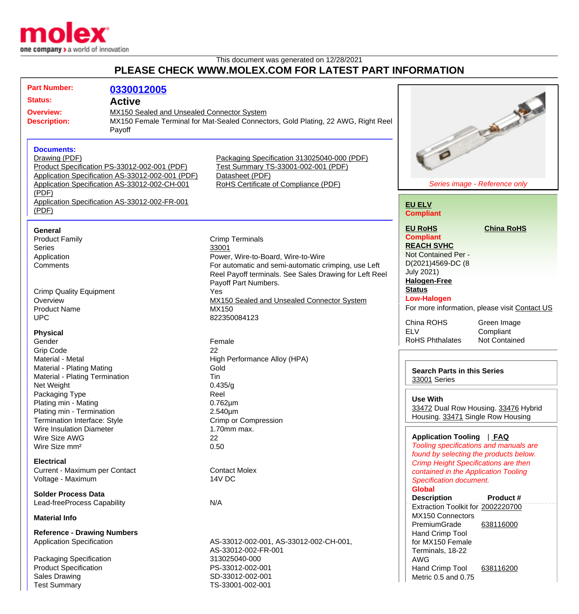

## This document was generated on 12/28/2021 **PLEASE CHECK WWW.MOLEX.COM FOR LATEST PART INFORMATION**

| <b>Part Number:</b>                                                                                                                               |                                            |                                                                                                                                               |                                                |
|---------------------------------------------------------------------------------------------------------------------------------------------------|--------------------------------------------|-----------------------------------------------------------------------------------------------------------------------------------------------|------------------------------------------------|
|                                                                                                                                                   | 0330012005                                 |                                                                                                                                               |                                                |
| <b>Status:</b><br><b>Active</b>                                                                                                                   |                                            |                                                                                                                                               |                                                |
| <b>Overview:</b>                                                                                                                                  | MX150 Sealed and Unsealed Connector System |                                                                                                                                               |                                                |
| <b>Description:</b><br>Payoff                                                                                                                     |                                            | MX150 Female Terminal for Mat-Sealed Connectors, Gold Plating, 22 AWG, Right Reel                                                             | <b>Call of the Contract</b>                    |
|                                                                                                                                                   |                                            |                                                                                                                                               |                                                |
|                                                                                                                                                   |                                            |                                                                                                                                               |                                                |
| <b>Documents:</b>                                                                                                                                 |                                            |                                                                                                                                               |                                                |
| Drawing (PDF)                                                                                                                                     |                                            | Packaging Specification 313025040-000 (PDF)<br>Test Summary TS-33001-002-001 (PDF)<br>Datasheet (PDF)<br>RoHS Certificate of Compliance (PDF) |                                                |
| Product Specification PS-33012-002-001 (PDF)<br>Application Specification AS-33012-002-001 (PDF)<br>Application Specification AS-33012-002-CH-001 |                                            |                                                                                                                                               |                                                |
|                                                                                                                                                   |                                            |                                                                                                                                               |                                                |
|                                                                                                                                                   |                                            |                                                                                                                                               | Series image - Reference only                  |
| (PDF)                                                                                                                                             |                                            |                                                                                                                                               |                                                |
| Application Specification AS-33012-002-FR-001                                                                                                     |                                            |                                                                                                                                               | <b>EU ELV</b>                                  |
| (PDF)                                                                                                                                             |                                            |                                                                                                                                               | <b>Compliant</b>                               |
|                                                                                                                                                   |                                            |                                                                                                                                               |                                                |
| General                                                                                                                                           |                                            |                                                                                                                                               | <b>EU RoHS</b><br><b>China RoHS</b>            |
| <b>Product Family</b>                                                                                                                             |                                            | <b>Crimp Terminals</b>                                                                                                                        | <b>Compliant</b>                               |
| <b>Series</b>                                                                                                                                     |                                            | 33001                                                                                                                                         | <b>REACH SVHC</b>                              |
| Application                                                                                                                                       |                                            | Power, Wire-to-Board, Wire-to-Wire                                                                                                            | Not Contained Per -                            |
| Comments                                                                                                                                          |                                            | For automatic and semi-automatic crimping, use Left                                                                                           | D(2021)4569-DC (8                              |
|                                                                                                                                                   |                                            | Reel Payoff terminals. See Sales Drawing for Left Reel                                                                                        | <b>July 2021)</b>                              |
|                                                                                                                                                   |                                            | Payoff Part Numbers.                                                                                                                          | <b>Halogen-Free</b>                            |
| <b>Crimp Quality Equipment</b>                                                                                                                    |                                            | Yes                                                                                                                                           | <b>Status</b>                                  |
| Overview                                                                                                                                          |                                            | MX150 Sealed and Unsealed Connector System                                                                                                    | <b>Low-Halogen</b>                             |
| <b>Product Name</b>                                                                                                                               |                                            | MX150                                                                                                                                         | For more information, please visit Contact US  |
| <b>UPC</b>                                                                                                                                        |                                            | 822350084123                                                                                                                                  |                                                |
|                                                                                                                                                   |                                            |                                                                                                                                               | China ROHS<br>Green Image                      |
| <b>Physical</b>                                                                                                                                   |                                            |                                                                                                                                               | <b>ELV</b><br>Compliant                        |
| Gender                                                                                                                                            |                                            | Female                                                                                                                                        | <b>RoHS Phthalates</b><br><b>Not Contained</b> |
| <b>Grip Code</b>                                                                                                                                  |                                            | 22                                                                                                                                            |                                                |
| Material - Metal                                                                                                                                  |                                            | High Performance Alloy (HPA)                                                                                                                  |                                                |
| Material - Plating Mating                                                                                                                         |                                            | Gold                                                                                                                                          | <b>Search Parts in this Series</b>             |
| Material - Plating Termination                                                                                                                    |                                            | Tin                                                                                                                                           | 33001 Series                                   |
| Net Weight                                                                                                                                        |                                            | 0.435/g                                                                                                                                       |                                                |
| Packaging Type                                                                                                                                    |                                            | Reel                                                                                                                                          |                                                |
| Plating min - Mating                                                                                                                              |                                            | $0.762 \mu m$                                                                                                                                 | <b>Use With</b>                                |
| Plating min - Termination                                                                                                                         |                                            | $2.540 \mu m$                                                                                                                                 | 33472 Dual Row Housing. 33476 Hybrid           |
| Termination Interface: Style                                                                                                                      |                                            | Crimp or Compression                                                                                                                          | Housing. 33471 Single Row Housing              |
| Wire Insulation Diameter                                                                                                                          |                                            | $1.70$ mm max.                                                                                                                                |                                                |
| Wire Size AWG                                                                                                                                     |                                            | 22                                                                                                                                            | Application Tooling   FAQ                      |
| Wire Size mm <sup>2</sup>                                                                                                                         |                                            | 0.50                                                                                                                                          | Tooling specifications and manuals are         |
|                                                                                                                                                   |                                            |                                                                                                                                               | found by selecting the products below.         |
| <b>Electrical</b>                                                                                                                                 |                                            |                                                                                                                                               | <b>Crimp Height Specifications are then</b>    |
| Current - Maximum per Contact                                                                                                                     |                                            | <b>Contact Molex</b>                                                                                                                          | contained in the Application Tooling           |
| Voltage - Maximum                                                                                                                                 |                                            | 14V DC                                                                                                                                        | Specification document.                        |
| <b>Solder Process Data</b>                                                                                                                        |                                            |                                                                                                                                               | <b>Global</b>                                  |
|                                                                                                                                                   |                                            |                                                                                                                                               | Product #<br><b>Description</b>                |
| Lead-freeProcess Capability                                                                                                                       |                                            | N/A                                                                                                                                           | Extraction Toolkit for 2002220700              |
| <b>Material Info</b>                                                                                                                              |                                            |                                                                                                                                               | MX150 Connectors                               |
|                                                                                                                                                   |                                            |                                                                                                                                               | PremiumGrade<br>638116000                      |
| <b>Reference - Drawing Numbers</b>                                                                                                                |                                            |                                                                                                                                               | Hand Crimp Tool                                |
| <b>Application Specification</b>                                                                                                                  |                                            | AS-33012-002-001, AS-33012-002-CH-001,                                                                                                        | for MX150 Female                               |
|                                                                                                                                                   |                                            | AS-33012-002-FR-001                                                                                                                           | Terminals, 18-22                               |
| Packaging Specification                                                                                                                           |                                            | 313025040-000                                                                                                                                 | <b>AWG</b>                                     |
| <b>Product Specification</b>                                                                                                                      |                                            | PS-33012-002-001                                                                                                                              | Hand Crimp Tool<br>638116200                   |
| <b>Sales Drawing</b>                                                                                                                              |                                            | SD-33012-002-001                                                                                                                              | Metric 0.5 and 0.75                            |
| <b>Test Summary</b>                                                                                                                               |                                            | TS-33001-002-001                                                                                                                              |                                                |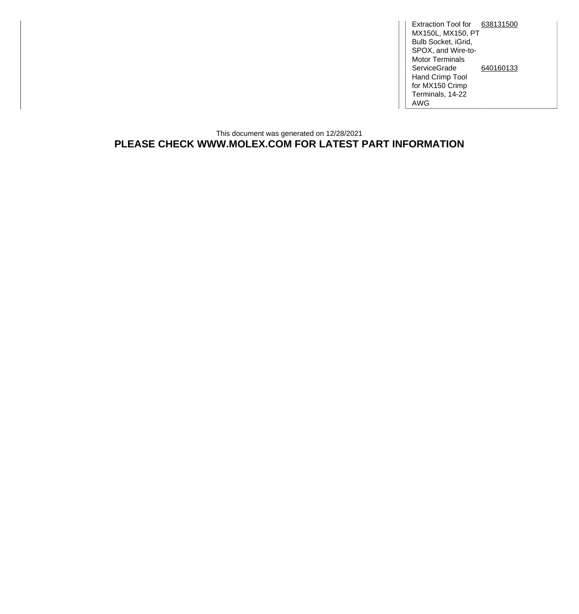Extraction Tool for [638131500](http://www.molex.com/molex/products/datasheet.jsp?part=active/0638131500_APPLICATION_TOOLIN.xml) MX150L, MX150, PT Bulb Socket, iGrid, SPOX, and Wire-to-Motor Terminals **ServiceGrade** Hand Crimp Tool for MX150 Crimp Terminals, 14-22 AWG [640160133](http://www.molex.com/molex/products/datasheet.jsp?part=active/0640160133_APPLICATION_TOOLIN.xml)

## This document was generated on 12/28/2021 **PLEASE CHECK WWW.MOLEX.COM FOR LATEST PART INFORMATION**